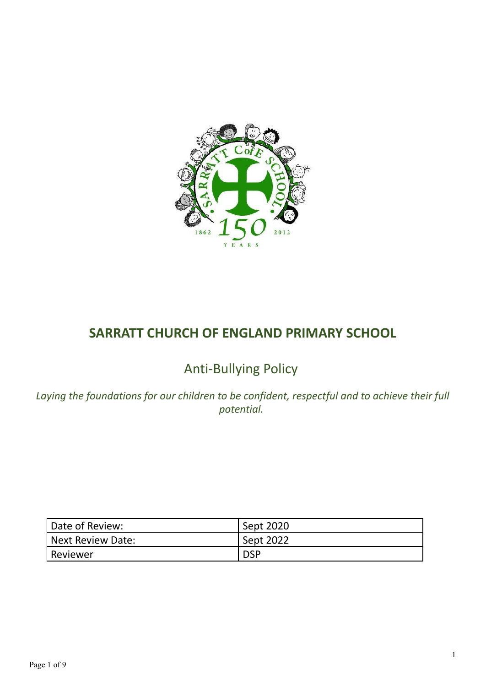

# **SARRATT CHURCH OF ENGLAND PRIMARY SCHOOL**

# Anti-Bullying Policy

*Laying the foundations for our children to be confident, respectful and to achieve their full potential.*

| Date of Review:   | Sept 2020        |
|-------------------|------------------|
| Next Review Date: | <b>Sept 2022</b> |
| l Reviewer        | <b>DSP</b>       |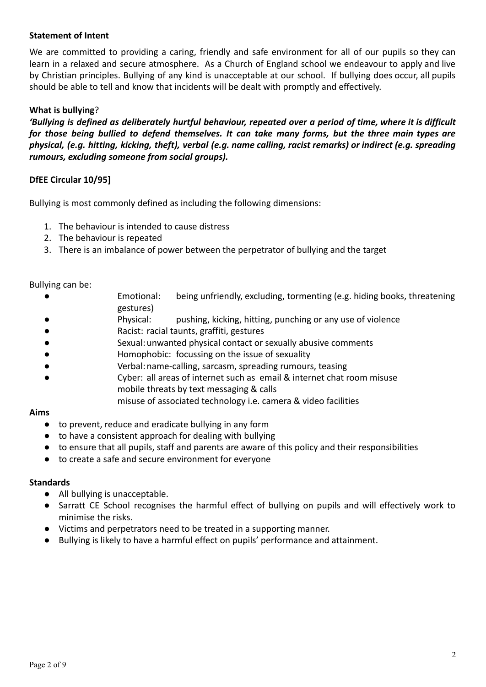#### **Statement of Intent**

We are committed to providing a caring, friendly and safe environment for all of our pupils so they can learn in a relaxed and secure atmosphere. As a Church of England school we endeavour to apply and live by Christian principles. Bullying of any kind is unacceptable at our school. If bullying does occur, all pupils should be able to tell and know that incidents will be dealt with promptly and effectively.

#### **What is bullying**?

'Bullying is defined as deliberately hurtful behaviour, repeated over a period of time, where it is difficult *for those being bullied to defend themselves. It can take many forms, but the three main types are physical, (e.g. hitting, kicking, theft), verbal (e.g. name calling, racist remarks) or indirect (e.g. spreading rumours, excluding someone from social groups).*

#### **DfEE Circular 10/95]**

Bullying is most commonly defined as including the following dimensions:

- 1. The behaviour is intended to cause distress
- 2. The behaviour is repeated
- 3. There is an imbalance of power between the perpetrator of bullying and the target

#### Bullying can be:

- Emotional: being unfriendly, excluding, tormenting (e.g. hiding books, threatening gestures)
- Physical: pushing, kicking, hitting, punching or any use of violence
- Racist: racial taunts, graffiti, gestures
- Sexual: unwanted physical contact or sexually abusive comments
- Homophobic: focussing on the issue of sexuality
- Verbal: name-calling, sarcasm, spreading rumours, teasing
- Cyber: all areas of internet such as email & internet chat room misuse mobile threats by text messaging & calls
	- misuse of associated technology i.e. camera & video facilities

#### **Aims**

- to prevent, reduce and eradicate bullying in any form
- to have a consistent approach for dealing with bullying
- to ensure that all pupils, staff and parents are aware of this policy and their responsibilities
- to create a safe and secure environment for everyone

#### **Standards**

- All bullying is unacceptable.
- Sarratt CE School recognises the harmful effect of bullying on pupils and will effectively work to minimise the risks.
- Victims and perpetrators need to be treated in a supporting manner.
- Bullying is likely to have a harmful effect on pupils' performance and attainment.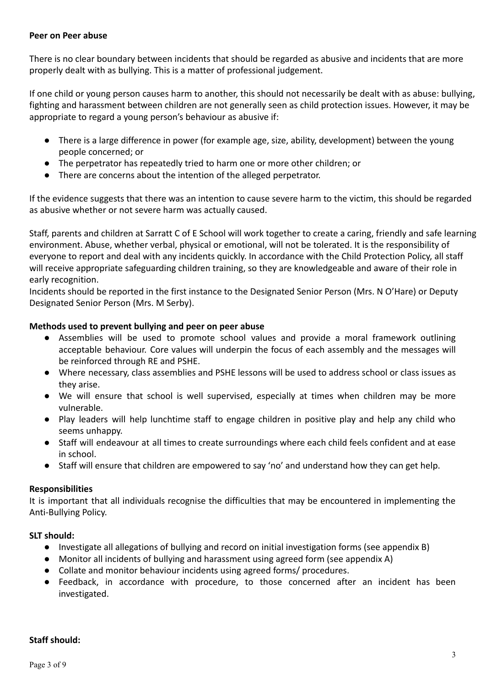#### **Peer on Peer abuse**

There is no clear boundary between incidents that should be regarded as abusive and incidents that are more properly dealt with as bullying. This is a matter of professional judgement.

If one child or young person causes harm to another, this should not necessarily be dealt with as abuse: bullying, fighting and harassment between children are not generally seen as child protection issues. However, it may be appropriate to regard a young person's behaviour as abusive if:

- There is a large difference in power (for example age, size, ability, development) between the young people concerned; or
- The perpetrator has repeatedly tried to harm one or more other children; or
- There are concerns about the intention of the alleged perpetrator.

If the evidence suggests that there was an intention to cause severe harm to the victim, this should be regarded as abusive whether or not severe harm was actually caused.

Staff, parents and children at Sarratt C of E School will work together to create a caring, friendly and safe learning environment. Abuse, whether verbal, physical or emotional, will not be tolerated. It is the responsibility of everyone to report and deal with any incidents quickly. In accordance with the Child Protection Policy, all staff will receive appropriate safeguarding children training, so they are knowledgeable and aware of their role in early recognition.

Incidents should be reported in the first instance to the Designated Senior Person (Mrs. N O'Hare) or Deputy Designated Senior Person (Mrs. M Serby).

#### **Methods used to prevent bullying and peer on peer abuse**

- Assemblies will be used to promote school values and provide a moral framework outlining acceptable behaviour. Core values will underpin the focus of each assembly and the messages will be reinforced through RE and PSHE.
- Where necessary, class assemblies and PSHE lessons will be used to address school or class issues as they arise.
- We will ensure that school is well supervised, especially at times when children may be more vulnerable.
- Play leaders will help lunchtime staff to engage children in positive play and help any child who seems unhappy.
- Staff will endeavour at all times to create surroundings where each child feels confident and at ease in school.
- Staff will ensure that children are empowered to say 'no' and understand how they can get help.

#### **Responsibilities**

It is important that all individuals recognise the difficulties that may be encountered in implementing the Anti-Bullying Policy.

#### **SLT should:**

- Investigate all allegations of bullying and record on initial investigation forms (see appendix B)
- Monitor all incidents of bullying and harassment using agreed form (see appendix A)
- Collate and monitor behaviour incidents using agreed forms/ procedures.
- Feedback, in accordance with procedure, to those concerned after an incident has been investigated.

#### **Staff should:**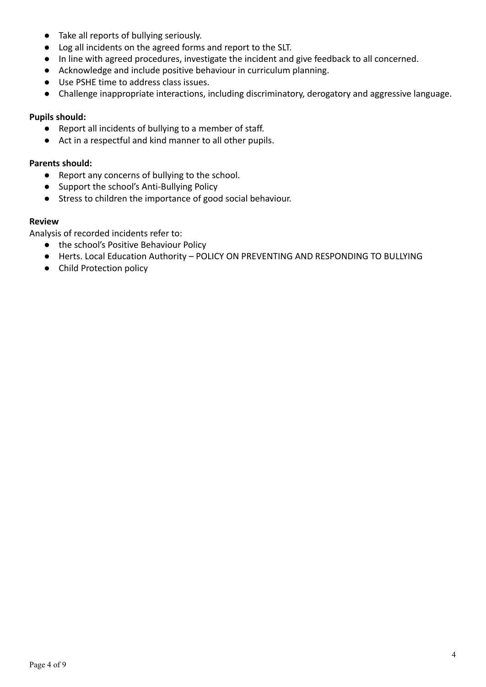- Take all reports of bullying seriously.
- Log all incidents on the agreed forms and report to the SLT.
- In line with agreed procedures, investigate the incident and give feedback to all concerned.
- Acknowledge and include positive behaviour in curriculum planning.
- Use PSHE time to address class issues.
- Challenge inappropriate interactions, including discriminatory, derogatory and aggressive language.

#### **Pupils should:**

- Report all incidents of bullying to a member of staff.
- Act in a respectful and kind manner to all other pupils.

#### **Parents should:**

- Report any concerns of bullying to the school.
- Support the school's Anti-Bullying Policy
- Stress to children the importance of good social behaviour.

#### **Review**

Analysis of recorded incidents refer to:

- the school's Positive Behaviour Policy
- Herts. Local Education Authority POLICY ON PREVENTING AND RESPONDING TO BULLYING
- Child Protection policy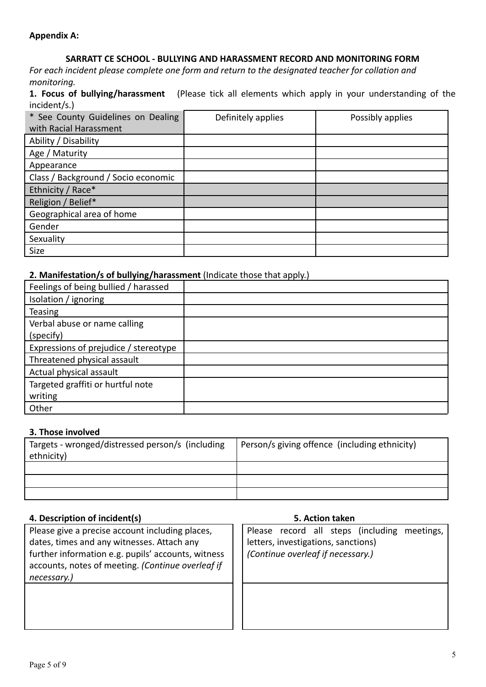#### **Appendix A:**

### **SARRATT CE SCHOOL - BULLYING AND HARASSMENT RECORD AND MONITORING FORM**

*For each incident please complete one form and return to the designated teacher for collation and monitoring.*

**1. Focus of bullying/harassment** (Please tick all elements which apply in your understanding of the incident/s.)

| * See County Guidelines on Dealing<br>with Racial Harassment | Definitely applies | Possibly applies |
|--------------------------------------------------------------|--------------------|------------------|
| Ability / Disability                                         |                    |                  |
| Age / Maturity                                               |                    |                  |
| Appearance                                                   |                    |                  |
| Class / Background / Socio economic                          |                    |                  |
| Ethnicity / Race*                                            |                    |                  |
| Religion / Belief*                                           |                    |                  |
| Geographical area of home                                    |                    |                  |
| Gender                                                       |                    |                  |
| Sexuality                                                    |                    |                  |
| <b>Size</b>                                                  |                    |                  |

#### **2. Manifestation/s of bullying/harassment** (Indicate those that apply.)

| Feelings of being bullied / harassed  |  |
|---------------------------------------|--|
| Isolation / ignoring                  |  |
| <b>Teasing</b>                        |  |
| Verbal abuse or name calling          |  |
| (specify)                             |  |
| Expressions of prejudice / stereotype |  |
| Threatened physical assault           |  |
| Actual physical assault               |  |
| Targeted graffiti or hurtful note     |  |
| writing                               |  |
| Other                                 |  |

#### **3. Those involved**

| Targets - wronged/distressed person/s (including<br>ethnicity) | Person/s giving offence (including ethnicity) |
|----------------------------------------------------------------|-----------------------------------------------|
|                                                                |                                               |
|                                                                |                                               |
|                                                                |                                               |

#### **4. Description of incident(s) 5. Action taken**

Please give a precise account including places, dates, times and any witnesses. Attach any further information e.g. pupils' accounts, witness accounts, notes of meeting. *(Continue overleaf if necessary.)*

Please record all steps (including meetings, letters, investigations, sanctions) *(Continue overleaf if necessary.)*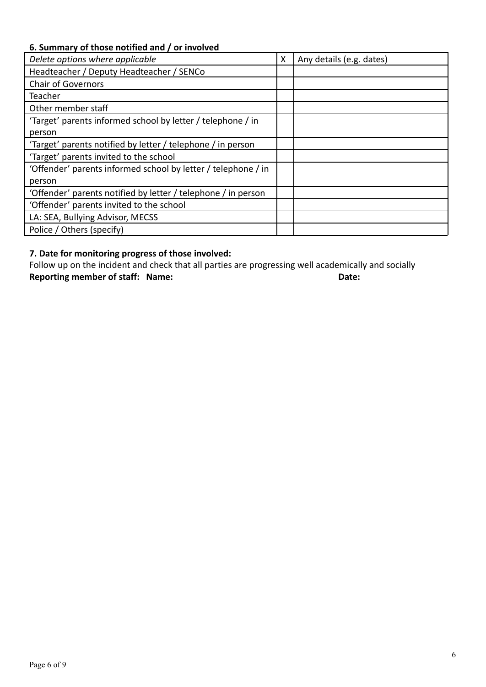## **6. Summary of those notified and / or involved**

| Delete options where applicable                               | Χ | Any details (e.g. dates) |
|---------------------------------------------------------------|---|--------------------------|
| Headteacher / Deputy Headteacher / SENCo                      |   |                          |
| <b>Chair of Governors</b>                                     |   |                          |
| Teacher                                                       |   |                          |
| Other member staff                                            |   |                          |
| 'Target' parents informed school by letter / telephone / in   |   |                          |
| person                                                        |   |                          |
| 'Target' parents notified by letter / telephone / in person   |   |                          |
| 'Target' parents invited to the school                        |   |                          |
| 'Offender' parents informed school by letter / telephone / in |   |                          |
| person                                                        |   |                          |
| 'Offender' parents notified by letter / telephone / in person |   |                          |
| 'Offender' parents invited to the school                      |   |                          |
| LA: SEA, Bullying Advisor, MECSS                              |   |                          |
| Police / Others (specify)                                     |   |                          |

## **7. Date for monitoring progress of those involved:**

Follow up on the incident and check that all parties are progressing well academically and socially<br>Reporting member of staff: Name: **Reporting member of staff: Name:**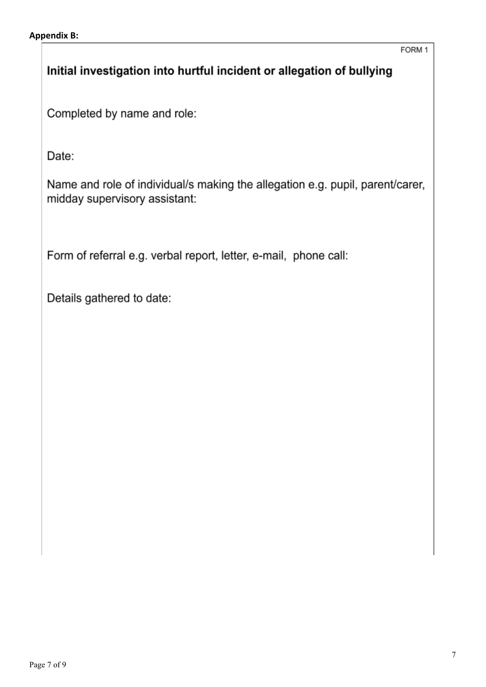## Initial investigation into hurtful incident or allegation of bullying

Completed by name and role:

Date:

Name and role of individual/s making the allegation e.g. pupil, parent/carer, midday supervisory assistant:

Form of referral e.g. verbal report, letter, e-mail, phone call:

Details gathered to date: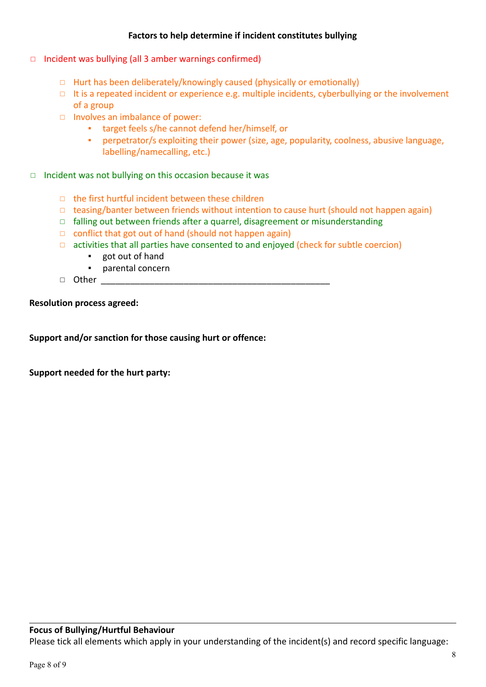### **Factors to help determine if incident constitutes bullying**

- ◻ Incident was bullying (all 3 amber warnings confirmed)
	- ◻ Hurt has been deliberately/knowingly caused (physically or emotionally)
	- ◻ It is a repeated incident or experience e.g. multiple incidents, cyberbullying or the involvement of a group
	- ◻ Involves an imbalance of power:
		- target feels s/he cannot defend her/himself, or
		- perpetrator/s exploiting their power (size, age, popularity, coolness, abusive language, labelling/namecalling, etc.)
- ◻ Incident was not bullying on this occasion because it was
	- ◻ the first hurtful incident between these children
	- ◻ teasing/banter between friends without intention to cause hurt (should not happen again)
	- ◻ falling out between friends after a quarrel, disagreement or misunderstanding
	- ◻ conflict that got out of hand (should not happen again)
	- ◻ activities that all parties have consented to and enjoyed (check for subtle coercion)
		- got out of hand
		- parental concern
	- $\Box$  Other

**Resolution process agreed:**

**Support and/or sanction for those causing hurt or offence:**

**Support needed for the hurt party:**